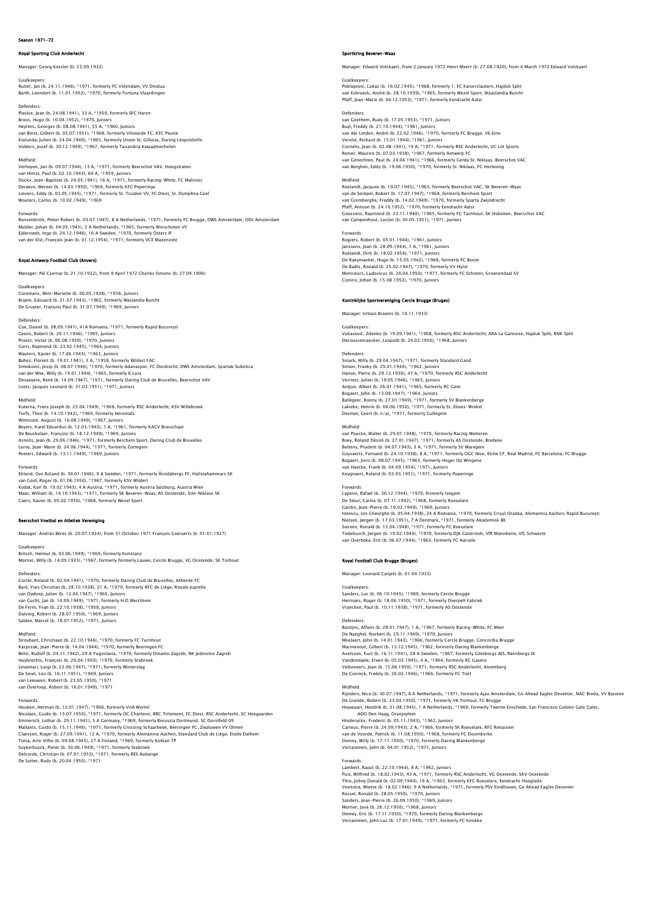# Season 1971-72

# Royal Sporting Club Anderlecht

Manager: Georg Kessler (b. 23.09.1932)

Goalkeepers: Ruiter, Jan (b. 24.11.1946), \*1971, formerly FC Volendam, VV Dindua Barth, Leendert (b. 11.01.1952), \*1970, formerly Fortuna Vlaardingen

Defenders: Plaskie, Jean (b. 24.08.1941), 33 A, \*1959, formerly SFC Haren Broos, Hugo (b. 10.04.1952), \*1970, Juniors<br>Heylens, Georges (b. 08.08.1941), 55 A, \*1960, Juniors<br>van Binst, Gilbert (b. 05.07.1951), \*1968, formerly Vilvoorde FC, KFC Peutie<br>Kialunda, Julien (b. 24.04.1940), \*1965, forme

Midfield:

Verheyen, Jan (b. 09.07.1944), 13 A, \*1971, formerly Beerschot VAV, Hoogstraten<br>van Himst, Paul (b. 02.10.1943), 60 A, \*1959, Juniors<br>Dockx, Jean-Baptiste (b. 24.05.1941), 16 A, \*1971, formerly Racing-White, FC Malinois<br>De Lievens, Eddy (b. 03.05.1945), \*1971, formerly St. Truiden VV, FC Diest, St. Dymphna Geel Wouters, Carlos (b. 10.02.1949), \*1969

Forwards: Rensenbrink, Pieter Robert (b. 03.07.1947), 8 A Netherlands, \*1971, formerly FC Brugge, DWS Amsterdam, OSV Amsterdam Mulder, Johan (b. 04.05.1945), 3 A Netherlands, \*1965, formerly Winschoten VV<br>Ejderstedt, Inge (b. 24.12.1946), 16 A Sweden, \*1970, formerly Östers IF<br>van der Elst, François Jean (b. 01.12.1954), \*1971, formerly VCE Mazenz

# Royal Antwerp Football Club (Anvers)

Manager: Pál Csernai (b. 21.10.1932), from 9 April 1972 Charles Simons (b. 27.09.1906)

### Goalkeepers:

Coremans, Wim-Mariette (b. 06.05.1938), \*1956, Juniors Braem, Edouard (b. 21.07.1943), \*1962, formerly Waslandia Burcht De Gruyter, François Paul (b. 31.07.1949), \*1969, Juniors

Defenders: Coe, Daniel (b. 08.09.1941), 41A Romania, \*1971, formerly Rapid Bucureşti Geens, Robert (b. 29.11.1946), \*1965, Juniors Proost, Victor (b. 06.08.1950), \*1970, Juniors Goris, Raymond (b. 23.02.1945), \*1964, Juniors<br>Wauters, Xavier (b. 17.06.1943), \*1963, Juniors<br>Bohez, Florent (b. 19.01.1941), 3 A, \*1958, formerly Wildert FAC<br>Simoković, Josip (b. 06.07.1946), \*1970, formerly Adanaspor, F Loots, Jacques Leonard (b. 31.03.1951), \*1971, Juniors

# Midfield:

Kuterna, Frans Joseph (b. 23.04.1949), \*1968, formerly RSC Anderlecht, KSV Willebroek Torfs, Theo (b. 14.10.1942), \*1969, formerly Herentals<br>Wilmssen, August (b. 16.08.1949), \*1967, Juniors<br>Beyers, Karel Eduardus (b. 12.03.1943), 1 A, \*1961, formerly KACV Brasschaat De Beuckelaer, François (b. 18.12.1949), \*1969, Juniors Arnolis, Jean (b. 29.06.1946), \*1971, formerly Berchem Sport, Daring Club de Bruxelles<br>Leroy, Jean-Marie (b. 24.06.1944), \*1971, formerly Zottegem<br>Peeters, Edward (b. 13.11.1949), \*1969, Juniors

### Forwards:

Eklund, Ove Roland (b. 30.01.1946), 9 A Sweden, \*1971, formerly Åtvidabergs FF, Hallstahammars SK van Gool, Roger (b. 01.06.1950), \*1967, formerly KSV Wildert<br>Kodat, Karl (b. 10.02.1943), 4 A Austria, \*1971, formerly Austria Salzburg, Austria Wien<br>Maes, William (b. 14.10.1943), \*1971, formerly SK Beveren-Waas, AS Ooste

# Beerschot Voetbal en Atletiek Vereniging

Manager: András Béres (b. 20.07.1924), from 31 October 1971 François Geeraerts (b. 01.01.1927)

### Goalkeepers

Brösch, Helmut (b. 03.06.1949), \*1969, formerly Konstanz Mortier, Willy (b. 14.09.1935), \*1967, formerly formerly Lauwe, Cercle Brugge, VG Oostende, SK Torhout

Defenders:

Coclet, Roland (b. 02.04.1941), \*1970, formerly Daring Club de Bruxelles, Athenée FC Baré, Yves Christian (b. 28.10.1938), 21 A, \*1970, formerly RFC de Liège, Royale Juprelle van Opdorp, Julien (b. 13.04.1947), \*1965, Juniors<br>van Gucht, Jan (b. 14.09.1949), \*1971, formerly H.O.Merchtem<br>Dalving, Robert (b. 28.07.1938), \*1958, Juniors<br>Dalving, Robert (b. 28.07.1950), \*1969, Juniors Salden, Marcel (b. 18.07.1952), \*1971, Juniors

Midfield: Stroybant, Christiaan (b. 22.10.1946), \*1970, formerly FC Turnhout Kasprzak, Jean-Pierre (b. 14.04.1944), \*1970, formerly Beeringen FC Belin, Rudolf (b. 04.11.1.1942), 29 A Yugoslavia, † 1970, formerly Dinamo Zagreb, NK Jedinstvo Zagreb<br>Huybrechts, François (b. 26.04.1950), \*1970, formerly Stabroek<br>Levantaci, Luigi (b. 22.06.1947), \*1971, formerly Winters van Overloop, Robert (b. 16.01.1949), \*1971

Forwards:<br>Houben, Herman (b. 12.01.1947), \*1966, formerly VnA Wortel<br>Nicolaes, Guido (b. 15.07.1950), \*1971, formerly OC Charleroi, RRC Tirlemont, FC Diest, RSC Anderlecht, SC Hoegaarden

Emmerich, Lothar (b. 29.11.1941), 5 A Germany, \*1969, formerly Borussia Dortmund, SC Dorstfeld 09<br>Mallants, Guido (b. 15.11.1946), \*1971, formerly Crossing Schaarbeek, Beeringen FC, Zwaluwen VV Olmen<br>Claessen, Roger (b. 27 De Sutter, Rudy (b. 20.04.1950), \*1971

### Sportkring Beveren-Waas

Manager: Edward Volckaert, from 2 January 1972 Henri Meert (b. 27.08.1920), from 4 March 1972 Edward Volckaert

# Goalkeepers:<br>Poklepović, Lukas (b. 16.02.1945), \*1968, formerly 1. FC Kaiserslautern, Hajduk Split<br>van Esbroeck, André (b. 28.10.1939), \*1965, formerly Wezel Sport, Waaslandia Burch!<br>Pfaff, Jean-Marie (b. 04.12.1953), \*197

Defenders: van Goethem, Rudy (b. 17.05.1953), \*1971, Juniors Buyl, Freddy (b. 21.10.1944), \*1961, Juniors<br>van der Linden, André (b. 22.02.1946), \*1970, formerly FC Brugge, VK Eine<br>Verelst, Richard (b. 15.01.1944), \*1961, Juniors<br>Cornelis, Jean (b. 02.08.1941), 19 A, \*1971, formerly Renier, Maurice (b. 07.03.1938), \*1967, formerly Antwerp FC<br>van Genechten, Paul (b. 24.04.1941), \*1966, formerly Gerda St. Niklaas, Beerschot VAC<br>van Berghen, Eddy (b. 19.06.1950), \*1970, formerly St. Niklaas, FC Herleving

Midfield: Roelandt, Jacques (b. 10.07.1945), \*1963, formerly Beerschot VAC, SK Beveren-Waas van de Sompel, Robert (b. 17.07.1947), \*1968, formerly Berchem Sport van Gremberghe, Freddy (b. 14.02.1949), \*1970, formerly Sparta Zwijndrecht<br>Pfaff, Antoon (b. 24.10.1952), \*1970, formerly Eendracht Aalst<br>Goossens, Raymond (b. 23.11.1940), \*1965, formerly FC Turnhout, SK Hoboken, Beerscho

# Forwards:

Rogiers, Robert (b. 05.01.1944), \*1961, Juniors Janssens, Jean (b. 28.09.1944), 1 A, \*1961, Juniors Roelandt, Dirk (b. 18.02.1954), \*1971, Juniors De Raeymaeker, Hugo (b. 15.05.1942), \*1968, formerly FC Boom De Badts, Ronald (b. 25.02.1947), \*1970, formerly VV Hulst Monsieurs, Ludovicus (b. 20.04.1950), \*1971, formerly FC Schoten, Groenendaal SV Coninx, Johan (b. 15.08.1952), \*1970, Juniors

### Koninklijke Sportvereniging Cercle Brugge (Bruges)

Manager: Urbain Braems (b. 10.11.1933)

Goalkeepers:

Vukasović, Zdenko (b. 19.09.1941), \*1968, formerly RSC Anderlecht, ARA La Gantoise, Hajduk Split, RNK Split Decoussemaecker, Leopold (b. 24.02.1950), \*1968, Juniors

Defenders: Sinack, Willy (b. 29.04.1947), \*1971, formerly Standard Gand Simon, Franky (b. 29.01.1944), \*1962, Juniors Hanon, Pierre (b. 29.12.1936), 47 A, \*1970, formerly RSC Anderlecht Verriest, Julien (b. 19.05.1946), \*1965, Juniors Antjon, Albert (b. 26.01.1941), \*1965, formerly RC Gent<br>Bogaert, John (b. 13.09.1947), \*1964, Juniors<br>Ballegeer, Ronny (b. 27.01.1949), \*1971, formerly SV Blankenberge<br>Lakieke, Henrik (b. 04.06.1950), \*1971, formerly St. E Desmet, Geert (b. n/a), \*1971, formerly Gulleg

### Midfield:

van Poucke, Walter (b. 29.07.1948), \*1970, formerly Racing Wetteren Boey, Roland Désiré (b. 27.01.1947), \*1971, formerly AS Oostende, Bredene<br>Bettens, Prudent (b. 04.07.1943), 3 A, \*1971, formerly SV Waregem<br>Goyvaerts, Fernand (b. 24.10.1938), 8 A, \*1971, formerly SV OGC Nice, Eiche CF, Re van Haecke, Frank (b. 04.09.1954), \*1971, Juniors Keygnaert, Roland (b. 03.03.1951), \*1971, formerly Poperinge

# Forwards:

Lapeire, Rafael (b. 30.12.1944), \*1970, formerly Izegem De Steur, Carlos (b. 07.11.1942), \*1968, formerly Roeselare Gardin, Jean-Pierre (b. 19.02.1949), \*1969, Juniors Ionescu, Ion Gheorghe (b. 05.04.1938), 24 A Romania, \*1970, formerly Crişul Oradea, Alemannia Aachen, Rapid Bucureşti Nielsen, Jørgen (b. 17.03.1951), 7 A Denmark, \*1971, formerly Akademisk BK<br>Sierens, Ronald (b. 15.04.1948), \*1971, formerly FC Roeselare<br>Todebusch, Jürgen (b. 19.02.1944), \*1970, formerly DJK Gütersloh, VfR Mannheim, VfL S

## Royal Football Club Brugge (Bruges)

Manager: Leonard Canjels (b. 01.04.1933)

Goalkeepers: Sanders, Luc (b. 06.10.1945), \*1969, formerly Cercle Brugge Hermans, Roger (b. 18.06.1950), \*1971, formerly Overpelt Fabriek Vrancken, Paul (b. 10.11.1938), \*1971, formerly AS Oostende

Defenders:<br>Bastijns, Alfons (b. 28.01.1947), 1 A, \*1967, formerly Racing-White, FC Meer<br>De Naeghel, Norbert (b. 29.11.1949), \*1970, Juniors<br>Moenaert, John (b. 14.01.1943), \*1966, formerly Cercle Brugge, Concordia Brugge<br>Ma Axelsson, Kurt (b. 16.11.1941), 28 A Sweden, \*1967, formerly Göteborgs AlS, Rännbergs IK<br>Vandendaele, Erwin (b. 05.03.1945), 4 A, \*1964, formerly RC Gavere<br>Velkeneers, Jean (b. 15.06.1950), \*1971, formerly RSC Anderlecht,

### Midfield:

Rijnders, Nico (b. 30.07.1947), 8 A Netherlands, \*1971, formerly Ajax Amsterdam, Go Ahead Eagles Deventer, NAC Breda, VV Baronie<br>De Grande, Robert (b. 23.04.1950), \*1971, formerly VK Torhout, FC Brugge<br>Houwaart, Hendrik (b ADO Den Haag, Oranjeplein Hinderyckx, Frederic (b. 05.11.1943), \*1962, Juniors Carteus, Pierre (b. 24.09.1943), 2 A, \*1966, formerly SK Roeselare, RFC Renaisien<br>van de Voorde, Patrick (b. 11.08.1950), \*1968, formerly FC Doomkerke<br>Demey, Willy (b. 17.11.1950), \*1970, formerly Daring Blankenberge<br>Verca

Forwards:<br>Lambert, Raoul (b. 22.10.1944), 8 A, \*1962, Juniors<br>Puis, Wilfried (b. 18.02.1943), 43 A, \*1971, formerly RSC Anderlecht, VG Oostende, SKV Oostende<br>Thio, Johny Donald (b. 02.09.1944), 16 A, \*1985, formerly KFC Ro Rossel, Ronald (b. 28.05.1950), \*1970, Juniors<br>Sanders, Jean-Pierre (b. 26.09.1950), \*1968, Juniors<br>Mortier, José (b. 26.12.1950), \*1968, Juniors<br>Demey, Eric (b. 17.11.1950), \*1970, formerly Daring Blankenberge<br>Vercammen,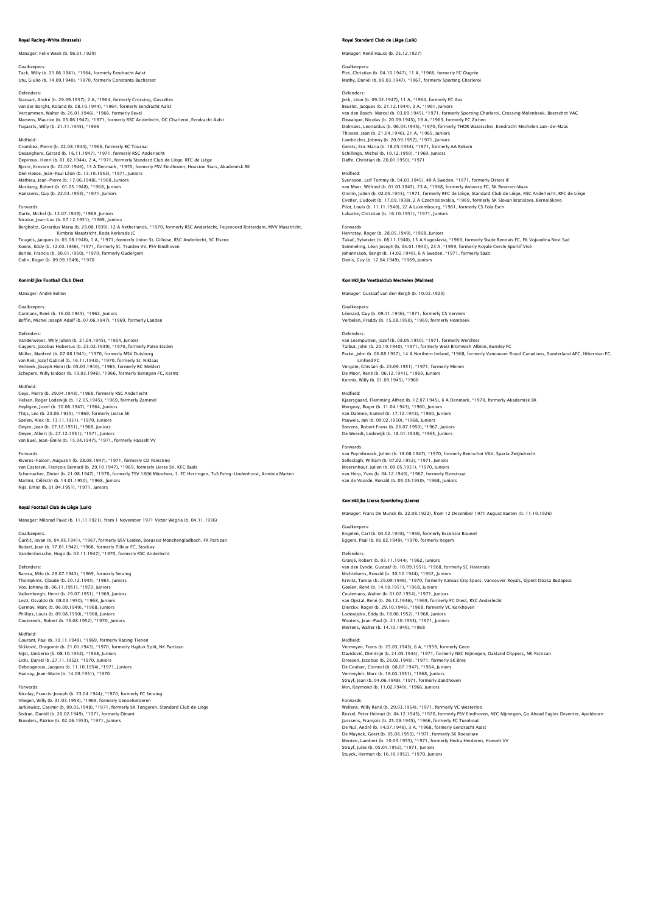# val Racing-White (Bru

# Manager: Felix Week (b. 06.01.1929)

Goalkeepers: Tack, Willy (b. 21.06.1941), \*1964, formerly Eendracht Aalst

Utu, Giulio (b. 14.09.1940), \*1970, formerly Constanta Bucha

Defenders:<br>Stassart, André (b. 29.09.1937), 2 A, \*1964, formerly Crossing, Gosselies<br>van der Borght, Roland (b. 08.10.1944), \*1964, formerly Bevel<br>Vercammen, Walter (b. 26.01.1946), \*1966, formerly Bevel Martens, Maurice (b. 05.06.1947), \*1971, formerly RSC Anderlecht, OC Charleroi, Eendracht Aalst Tuyaerts, Willy (b. 21.11.1945), \*1966

### Midfield:

Crombez, Pierre (b. 22.08.1944), \*1966, formerly RC Tournai Desanghere, Gérard (b. 16.11.1947), \*1971, formerly RSC Anderlecht<br>Depireux, Henri (b. 01.02.1944), 2 A, \*1971, formerly Standard Club de Liège, RFC de Liège<br>Bjerre, Kresten (b. 22.02.1946), 13 A Denmark, \*1970, formerly P Hanssens, Guy (b. 22.03.1953), \*1971, Juniors

### Forwards

Darte, Michel (b. 12.07.1949), \*1968, Juniors Nicaise, Jean-Luc (b. 07.12.1951), \*1969, Juniors Bergholtz, Gerardus Maria (b. 29.08.1939), 12 A Netherlands, \*1970, formerly RSC Anderlecht, Feijenoord Rotterdam, MVV Maastricht, Kimbria Maastricht, Roda Kerkrade JC Teugels, Jacques (b. 03.08.1946), 1 A, \*1971, formerly Union St. Gilloise, RSC Anderlecht, SC Elsene<br>Koens, Eddy (b. 12.03.1946), \*1971, formerly St. Truiden VV, PSV Eindhoven<br>Borlée, Francis (b. 30.01.1950), \*1970, former Colin, Roger (b. 09.09.1949), \*1970

# .<br>Inklijke Football Club Diest

Manager: André Bollen

# Goalkeepers:

Carmans, René (b. 16.03.1945), \*1962, Juniors Boffin, Michel Joseph Adolf (b. 07.06.1947), \*1969, formerly Landen

Defenders:<br>Vanderwever, Willy Julien (b. 21.04.1945), \*1964, Juniors Vanderweyer, Willy Julien (b. 21.04.1945), \*1964, Juniors<br>Cuypers, Jacobus Hubertus (b. 23.02.1939), \*1970, formerly Patro Eisden<br>Müller, Manfred (b. 07.08.1941), \*1970, formerly MSV Duisburg<br>van Riel, Jozef Gabriel (b. 16

Midfield: Geys, Pierre (b. 29.04.1948), \*1968, formerly RSC Anderlecht Helsen, Roger Lodewijk (b. 12.05.1945), \*1969, formerly Zammel Heyligen, Jozef (b. 30.06.1947), \*1964, Juniors Thijs, Leo (b. 23.06.1935), \*1969, formerly Lierse SK<br>Saelen, Alex (b. 13.11.1951), \*1970, Juniors<br>Oeyen, Jean (b. 27.12.1951), \*1968, Juniors<br>Oeyen, Albert (b. 27.12.1951), \*1971, Juniors van Buel, Jean-Émile (b. 15.04.1947), \*1971, formerly Hasselt VV

Forwards:<br>Riveros-Falcon, Augustin (b. 28.08.1947), \*1971, formerly CD Palestino<br>van Casteren, François Bernard (b. 29.10.1947), \*1969, formerly Lierse SK, KFC Baals<br>Schumacher, Dieter (b. 21.08.1947), \*1970, formerly TSV Martini, Céléstin (b. 14.01.1950), \*1968, Juniors Nijs, Emiel (b. 01.04.1951), \*1971, Junior

### Royal Football Club de Liège (Luik)

Manager: Milorad Pavić (b. 11.11.1921), from 1 November 1971 Victor Wégria (b. 04.11.1936)

Goalkeepers: Ćurčić, Jovan (b. 04.05.1941), \*1967, formerly USV Leiden, Borussia Mönchengladbach, FK Partizan Bodart, Jean (b. 17.01.1942), \*1968, formerly Tilleur FC, Stockay Vandenbossche, Hugo (b. 02.11.1947), \*1970, formerly RSC Anderlecht

Defenders: Baresa, Milo (b. 28.07.1943), \*1969, formerly Seraing Thompkins, Claude (b. 20.12.1945), \*1965, Juniors Vos, Johnny (b. 06.11.1951), \*1970, Juniors Valkenborgh, Henri (b. 29.07.1951), \*1969, Juniors Lesti, Osvaldo (b. 08.03.1950), \*1968, Juniors Germay, Marc (b. 06.09.1949), \*1968, Juniors Phillips, Louis (b. 09.08.1950), \*1968, Juniors Coutereels, Robert (b. 16.08.1952), \*1970, Juniors

Midfield: Courant, Paul (b. 10.11.1949), \*1969, formerly Racing Tienen Slišković, Dragomir (b. 21.01.1943), \*1970, formerly Hajduk Split, NK Partizan Nijst, Umberto (b. 08.10.1952), \*1968, Juniors<br>Licki, Daniël (b. 27.11.1952), \*1970, Juniors<br>Debougnoux, Jacques (b. 11.10.1954), \*1971, Juniors<br>Hannay, Jean-Marie (b. 14.09.1951), \*1970

Forwards:<br>Nicolay, Francis-Joseph (b. 23.04.1944), \*1970, formerly FC Seraing<br>Vilegen, Willy (b. 31.03.1953), \*1969, formerly Genoelselderen<br>Jurkiewicz, Casimir (b. 09.05.1948), \*1971, formerly SK Tongeren, Standard Club d Broeders, Patrice (b. 02.06.1953), \*1971, Juniors

# Royal Standard Club de Liège (Luik)

Manager: René Hauss (b. 25.12.1927)

# Goalkeeper Piot, Christian (b. 04.10.1947), 11 A, \*1966, formerly FC Ougrée Mathy, Daniël (b. 09.03.1947), \*1967, formerly Sporting Charleroi

Defenders:<br>Jeck, Léon (b. 09.02.1947), 11 A, \*1964, formerly FC Ans<br>Beurlet, Jacques (b. 21.12.1944), 3 A, \*1961, Juniors<br>van den Bosch, Marcel (b. 03.09.1945), \*1971, formerly Sporting Charleroi, Crossing Molenbeek, Beers Dewalque, Nicolas (b. 20.09.1945), 19 A, \*1963, formerly FC Zichen<br>Dolmans, Leonardus (b. 06.04.1945), \*1970, formerly THOR Waterschei, Eendracht Mechelen aan-de-Maas<br>Thissen, Jean (b. 21.04.1946), 21 A, \*1965, Juniors<br>Lam Daffe, Christian (b. 20.01.1950), \*1971

Midfield: Svensson, Leif Tommy (b. 04.03.1945), 40 A Sweden, \*1971, formerly Östers IF van Moer, Wilfried (b. 01.03.1945), 23 A, \*1968, formerly Antwerp FC, SK Beveren-Waas Onclin, Julien (b. 02.05.1945), \*1971, formerly RFC de Liège, Standard Club de Liège, RSC Anderlecht, RFC de Liège<br>Cvetler, L'udovit (b. 17.09.1938), 2 A Czechoslovakia, \*1969, formerly SK Slovan Bratislava, Bernolákovo<br>Pi

# Forwards:

Henrotay, Roger (b. 28.05.1949), \*1968, Juniors Takač, Sylvester (b. 08.11.1940), 15 A Yugoslavia, \*1969, formerly Stade Rennais FC, FK Vojvodina Novi Sad<br>Semmeling, Léon Joseph (b. 04.01.1940), 23 A, \*1959, formerly Royale Cercle Sportif Visé<br>Johannsson, Bengt (b. 14.0 Denis, Guy (b. 12.04.1949), \*1969, Juniors

# Koninklijke Voetbalclub Mechelen (Mal

Manager: Gustaaf van den Bergh (b. 10.02.1923)

Goalkeepers Léonard, Guy (b. 09.11.1946), \*1971, formerly CS Verviers Verbelen, Freddy (b. 15.08.1950), \*1969, formerly Hombeek

Defenders: van Leemputten, Jozef (b. 08.05.1950), \*1971, formerly Werchter Talbut, John (b. 20.10.1940), \*1971, formerly West Bromwich Albion, Burnley FC Parke, John (b. 06.08.1937), 14 A Northern Ireland, \*1968, formerly Vancouver Royal Canadians, Sunderland AFC, Hibernian FC,

Linfield FC Vergote, Ghislain (b. 23.09.1951), \*1971, formerly Menen De Moor, René (b. 06.12.1941), \*1960, Juniors Kennis, Willy (b. 01.09.1945), \*1966

Midfield: Kjaersgaard, Flemming Alfred (b. 12.07.1945), 6 A Denmark, \*1970, formerly Akademisk BK Mergeay, Roger (b. 11.04.1943), \*1960, Juniors van Damme, Kamiel (b. 17.12.1943), \*1960, Juniors Pauwels, Jan (b. 09.02.1950), \*1968, Juniors Stevens, Robert Frans (b. 06.07.1950), \*1967, Juniors De Weerdt, Lodewijk (b. 18.01.1948), \*1965, Juniors

Forwards: van Puymbroeck, Julien (b. 18.08.1947), \*1970, formerly Beerschot VAV, Sparta Zwijndrecht Selleslagh, William (b. 07.02.1952), \*1971, Juniors Moerenhout, Julien (b. 09.05.1951), \*1970, Juniors van Herp, Yves (b. 04.12.1949), \*1967, formerly Elzestraat van de Voorde, Ronald (b. 05.05.1950), \*1968, Juniors

## Koninklijke Lierse Sportkring (Lierre)

Manager: Frans De Munck (b. 22.08.1922), from 12 December 1971 August Baeten (b. 11.10.1926)

Goalkeepers: Engelen, Carl (b. 04.02.1948), \*1966, formerly Excelsior Bouwel Eggers, Paul (b. 06.02.1949), \*1970, formerly Itegem

### Defenders:

Granjé, Robert (b. 03.11.1944), \*1962, Juniors van den Eynde, Gustaaf (b. 10.09.1951), \*1968, formerly SC Herentals Michielsens, Ronald (b. 30.12.1944), \*1962, Juniors Krivitz, Tamas (b. 29.09.1946), \*1970, formerly Kansas City Spurs, Vancouver Royals, Újpest Dozsa Budapest Goelen, René (b. 14.10.1951), \*1968, Juniors Ceulemans, Walter (b. 01.07.1954), \*1971, Juniors<br>van Opstal, René (b. 26.12.1946), \*1969, formerly FC Diest, RSC Anderlecht<br>Dierckx, Roger (b. 29.10.1946), \*1968, formerly VC Kerkhoven<br>Lodewijckx, Eddy (b. 18.06.1952), \*1 Wouters, Jean-Paul (b. 21.10.1953), \*1971, Juniors Mertens, Walter (b. 14.10.1946), \*1968

### Midfield:

Vermeyen, Frans (b. 25.03.1943), 6 A, \*1959, formerly Geen Davidović, Dimitrije (b. 21.05.1944), \*1971, formerly NEC Nijmegen, Oakland Clippers, NK Partizan<br>Dreesen, Jacobus (b. 26.02.1948), \*1971, formerly SK Bree<br>De Ceulaer, Corneel (b. 08.07.1947), \*1964, Juniors<br>Vermeyjen, Mar Min, Raymond (b. 11.02.1949), \*1966, Juniors

Forwards:<br>Wellens, Willy René (b. 29.03.1954), \*1971, formerly VC Westerloo<br>Ressel, Peter Helmut (b. 04.12.1945), \*1970, formerly PSV Eindhoven, NEC Nijmegen, Go Ahead Eagles Deventer, Apeldoorn<br>Janssens, François (b. 25.0 De Nul, André (b. 14.07.1946), 3 A, † 1968, formerly Eendracht Aalst<br>De Muynck, Geert (b. 05.08.1950), † 1971, formerly SK Roeselare<br>Menten, Lambert (b. 10.03.1955), † 1971, formerly Hedra Herderen, Hoeselt Vv<br>Stuyck, Herm